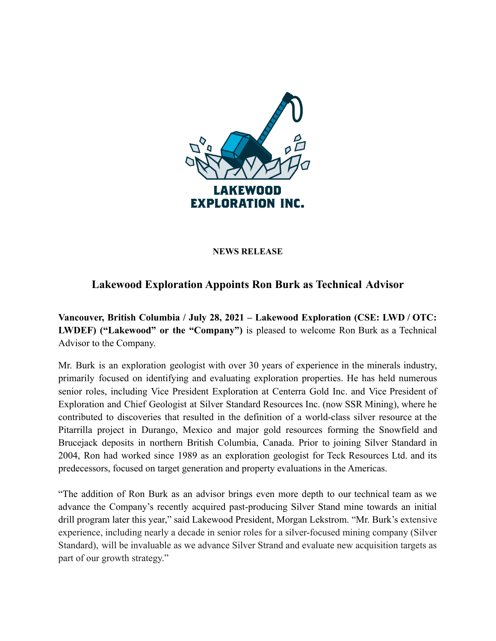

## **NEWS RELEASE**

## **Lakewood Exploration Appoints Ron Burk as Technical Advisor**

**Vancouver, British Columbia / July 28, 2021 – Lakewood Exploration (CSE: LWD / OTC: LWDEF) ("Lakewood" or the "Company")** is pleased to welcome Ron Burk as a Technical Advisor to the Company.

Mr. Burk is an exploration geologist with over 30 years of experience in the minerals industry, primarily focused on identifying and evaluating exploration properties. He has held numerous senior roles, including Vice President Exploration at Centerra Gold Inc. and Vice President of Exploration and Chief Geologist at Silver Standard Resources Inc. (now SSR Mining), where he contributed to discoveries that resulted in the definition of a world-class silver resource at the Pitarrilla project in Durango, Mexico and major gold resources forming the Snowfield and Brucejack deposits in northern British Columbia, Canada. Prior to joining Silver Standard in 2004, Ron had worked since 1989 as an exploration geologist for Teck Resources Ltd. and its predecessors, focused on target generation and property evaluations in the Americas.

"The addition of Ron Burk as an advisor brings even more depth to our technical team as we advance the Company's recently acquired past-producing Silver Stand mine towards an initial drill program later this year," said Lakewood President, Morgan Lekstrom. "Mr. Burk's extensive experience, including nearly a decade in senior roles for a silver-focused mining company (Silver Standard), will be invaluable as we advance Silver Strand and evaluate new acquisition targets as part of our growth strategy."